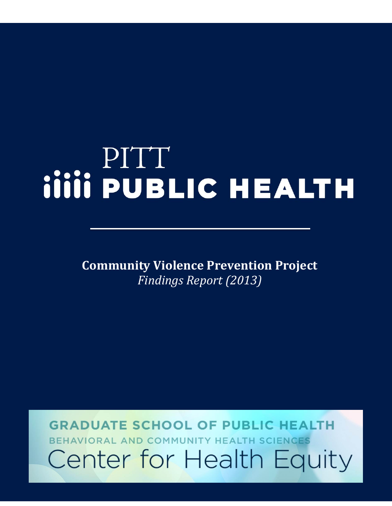# **PITT<br>
iiiii PUBLIC HEALTH**

**Community Violence Prevention Project** *Findings Report (2013)*

**GRADUATE SCHOOL OF PUBLIC HEALTH** BEHAVIORAL AND COMMUNITY HEALTH SCIENCES Center for Health Equity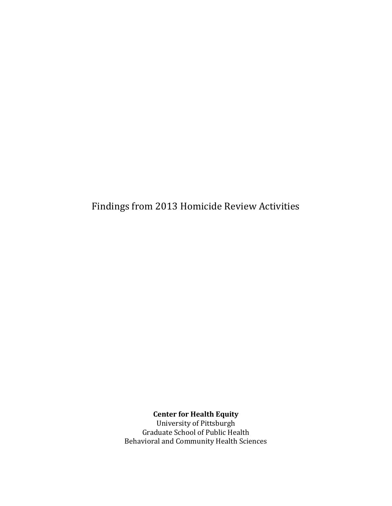Findings from 2013 Homicide Review Activities

**Center for Health Equity**

University of Pittsburgh Graduate School of Public Health Behavioral and Community Health Sciences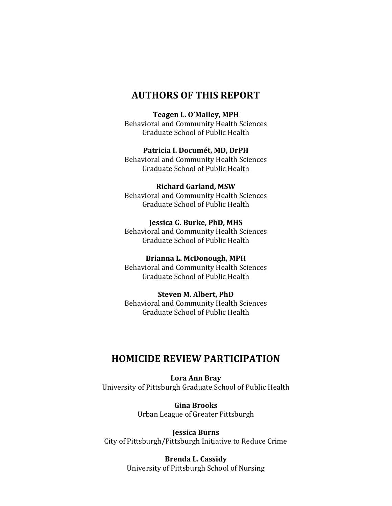### **AUTHORS OF THIS REPORT**

**Teagen L. O'Malley, MPH**

Behavioral and Community Health Sciences Graduate School of Public Health

**Patricia I. Documét, MD, DrPH**

Behavioral and Community Health Sciences Graduate School of Public Health

**Richard Garland, MSW** Behavioral and Community Health Sciences Graduate School of Public Health

**Jessica G. Burke, PhD, MHS** Behavioral and Community Health Sciences Graduate School of Public Health

**Brianna L. McDonough, MPH** Behavioral and Community Health Sciences Graduate School of Public Health

**Steven M. Albert, PhD** Behavioral and Community Health Sciences Graduate School of Public Health

## **HOMICIDE REVIEW PARTICIPATION**

**Lora Ann Bray**  University of Pittsburgh Graduate School of Public Health

> **Gina Brooks** Urban League of Greater Pittsburgh

**Jessica Burns** City of Pittsburgh/Pittsburgh Initiative to Reduce Crime

> **Brenda L. Cassidy**  University of Pittsburgh School of Nursing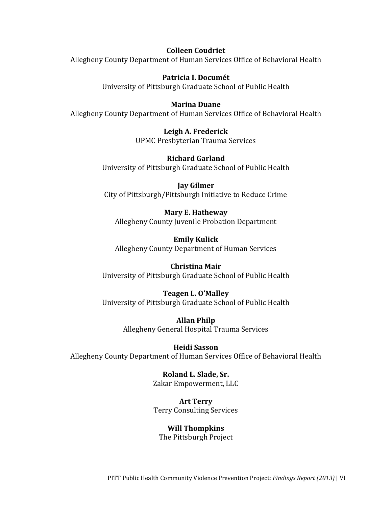**Colleen Coudriet** Allegheny County Department of Human Services Office of Behavioral Health

> **Patricia I. Documét** University of Pittsburgh Graduate School of Public Health

### **Marina Duane**

Allegheny County Department of Human Services Office of Behavioral Health

**Leigh A. Frederick** UPMC Presbyterian Trauma Services

**Richard Garland** University of Pittsburgh Graduate School of Public Health

**Jay Gilmer** City of Pittsburgh/Pittsburgh Initiative to Reduce Crime

**Mary E. Hatheway**  Allegheny County Juvenile Probation Department

**Emily Kulick**  Allegheny County Department of Human Services

**Christina Mair** University of Pittsburgh Graduate School of Public Health

**Teagen L. O'Malley** University of Pittsburgh Graduate School of Public Health

> **Allan Philp**  Allegheny General Hospital Trauma Services

**Heidi Sasson**  Allegheny County Department of Human Services Office of Behavioral Health

> **Roland L. Slade, Sr.**  Zakar Empowerment, LLC

**Art Terry** Terry Consulting Services

**Will Thompkins** The Pittsburgh Project

PITT Public Health Community Violence Prevention Project: *Findings Report (2013)* | VI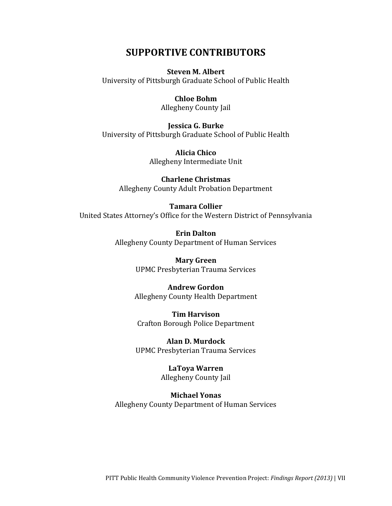### **SUPPORTIVE CONTRIBUTORS**

### **Steven M. Albert**

University of Pittsburgh Graduate School of Public Health

### **Chloe Bohm**

Allegheny County Jail

**Jessica G. Burke** University of Pittsburgh Graduate School of Public Health

> **Alicia Chico**  Allegheny Intermediate Unit

**Charlene Christmas** Allegheny County Adult Probation Department

### **Tamara Collier**

United States Attorney's Office for the Western District of Pennsylvania

**Erin Dalton**  Allegheny County Department of Human Services

> **Mary Green** UPMC Presbyterian Trauma Services

### **Andrew Gordon**

Allegheny County Health Department

**Tim Harvison** Crafton Borough Police Department

**Alan D. Murdock** UPMC Presbyterian Trauma Services

### **LaToya Warren** Allegheny County Jail

**Michael Yonas** Allegheny County Department of Human Services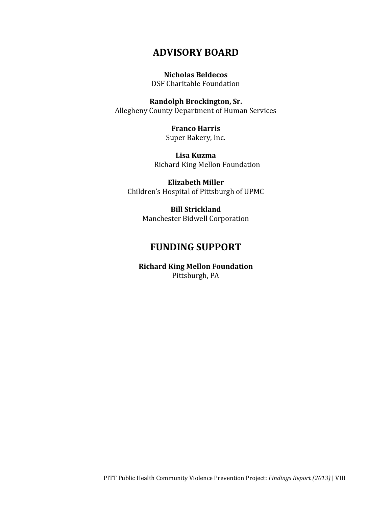## **ADVISORY BOARD**

**Nicholas Beldecos** DSF Charitable Foundation

**Randolph Brockington, Sr.**  Allegheny County Department of Human Services

> **Franco Harris** Super Bakery, Inc.

**Lisa Kuzma**  Richard King Mellon Foundation

**Elizabeth Miller** Children's Hospital of Pittsburgh of UPMC

> **Bill Strickland** Manchester Bidwell Corporation

## **FUNDING SUPPORT**

**Richard King Mellon Foundation** Pittsburgh, PA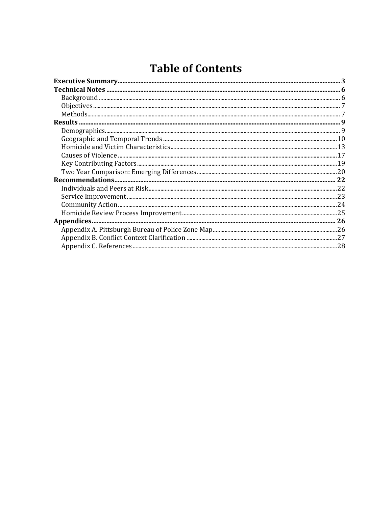# **Table of Contents**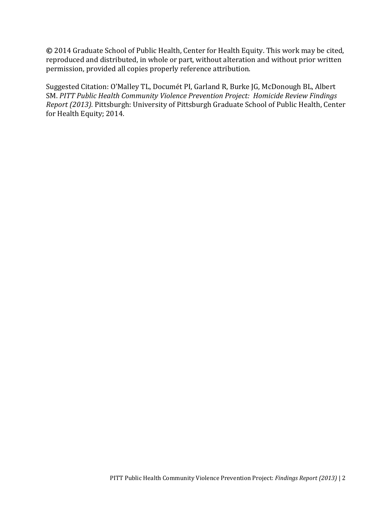**©** 2014 Graduate School of Public Health, Center for Health Equity. This work may be cited, reproduced and distributed, in whole or part, without alteration and without prior written permission, provided all copies properly reference attribution.

Suggested Citation: O'Malley TL, Documét PI, Garland R, Burke JG, McDonough BL, Albert SM. *PITT Public Health Community Violence Prevention Project: Homicide Review Findings Report (2013).* Pittsburgh: University of Pittsburgh Graduate School of Public Health, Center for Health Equity; 2014.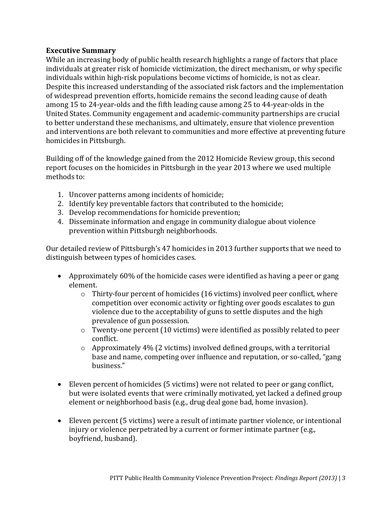### <span id="page-9-0"></span>**Executive Summary**

While an increasing body of public health research highlights a range of factors that place individuals at greater risk of homicide victimization, the direct mechanism, or why specific individuals within high-risk populations become victims of homicide, is not as clear. Despite this increased understanding of the associated risk factors and the implementation of widespread prevention efforts, homicide remains the second leading cause of death among 15 to 24-year-olds and the fifth leading cause among 25 to 44-year-olds in the United States. Community engagement and academic-community partnerships are crucial to better understand these mechanisms, and ultimately, ensure that violence prevention and interventions are both relevant to communities and more effective at preventing future homicides in Pittsburgh.

Building off of the knowledge gained from the 2012 Homicide Review group, this second report focuses on the homicides in Pittsburgh in the year 2013 where we used multiple methods to:

- 1. Uncover patterns among incidents of homicide;
- 2. Identify key preventable factors that contributed to the homicide;
- 3. Develop recommendations for homicide prevention;
- 4. Disseminate information and engage in community dialogue about violence prevention within Pittsburgh neighborhoods.

Our detailed review of Pittsburgh's 47 homicides in 2013 further supports that we need to distinguish between types of homicides cases.

- Approximately 60% of the homicide cases were identified as having a peer or gang element.
	- $\circ$  Thirty-four percent of homicides (16 victims) involved peer conflict, where competition over economic activity or fighting over goods escalates to gun violence due to the acceptability of guns to settle disputes and the high prevalence of gun possession.
	- o Twenty-one percent (10 victims) were identified as possibly related to peer conflict.
	- o Approximately 4% (2 victims) involved defined groups, with a territorial base and name, competing over influence and reputation, or so-called, "gang business."
- Eleven percent of homicides (5 victims) were not related to peer or gang conflict, but were isolated events that were criminally motivated, yet lacked a defined group element or neighborhood basis (e.g., drug deal gone bad, home invasion).
- Eleven percent (5 victims) were a result of intimate partner violence, or intentional injury or violence perpetrated by a current or former intimate partner (e.g., boyfriend, husband).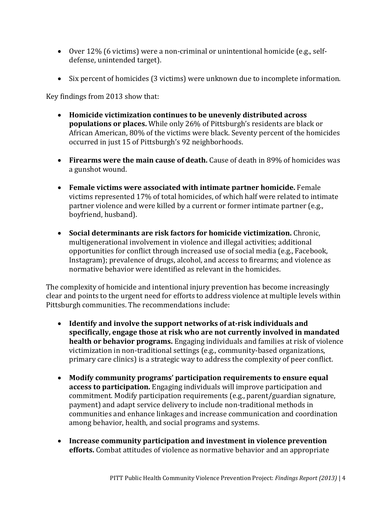- Over 12% (6 victims) were a non-criminal or unintentional homicide (e.g., selfdefense, unintended target).
- Six percent of homicides (3 victims) were unknown due to incomplete information.

Key findings from 2013 show that:

- **Homicide victimization continues to be unevenly distributed across populations or places.** While only 26% of Pittsburgh's residents are black or African American, 80% of the victims were black. Seventy percent of the homicides occurred in just 15 of Pittsburgh's 92 neighborhoods.
- **Firearms were the main cause of death.** Cause of death in 89% of homicides was a gunshot wound.
- **Female victims were associated with intimate partner homicide.** Female victims represented 17% of total homicides, of which half were related to intimate partner violence and were killed by a current or former intimate partner (e.g., boyfriend, husband).
- **Social determinants are risk factors for homicide victimization.** Chronic, multigenerational involvement in violence and illegal activities; additional opportunities for conflict through increased use of social media (e.g., Facebook, Instagram); prevalence of drugs, alcohol, and access to firearms; and violence as normative behavior were identified as relevant in the homicides.

The complexity of homicide and intentional injury prevention has become increasingly clear and points to the urgent need for efforts to address violence at multiple levels within Pittsburgh communities. The recommendations include:

- **Identify and involve the support networks of at-risk individuals and specifically, engage those at risk who are not currently involved in mandated health or behavior programs.** Engaging individuals and families at risk of violence victimization in non-traditional settings (e.g., community-based organizations, primary care clinics) is a strategic way to address the complexity of peer conflict.
- **Modify community programs' participation requirements to ensure equal access to participation.** Engaging individuals will improve participation and commitment. Modify participation requirements (e.g., parent/guardian signature, payment) and adapt service delivery to include non-traditional methods in communities and enhance linkages and increase communication and coordination among behavior, health, and social programs and systems.
- **Increase community participation and investment in violence prevention efforts.** Combat attitudes of violence as normative behavior and an appropriate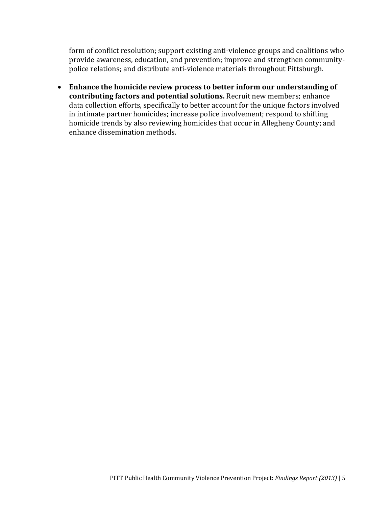form of conflict resolution; support existing anti-violence groups and coalitions who provide awareness, education, and prevention; improve and strengthen communitypolice relations; and distribute anti-violence materials throughout Pittsburgh.

 **Enhance the homicide review process to better inform our understanding of contributing factors and potential solutions.** Recruit new members; enhance data collection efforts, specifically to better account for the unique factors involved in intimate partner homicides; increase police involvement; respond to shifting homicide trends by also reviewing homicides that occur in Allegheny County; and enhance dissemination methods.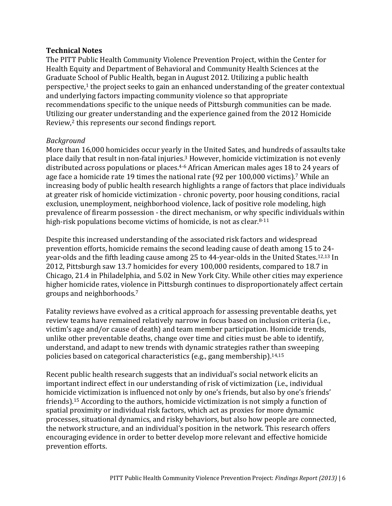### <span id="page-12-0"></span>**Technical Notes**

The PITT Public Health Community Violence Prevention Project, within the Center for Health Equity and Department of Behavioral and Community Health Sciences at the Graduate School of Public Health, began in August 2012. Utilizing a public health perspective, [1](#page-34-1) the project seeks to gain an enhanced understanding of the greater contextual and underlying factors impacting community violence so that appropriate recommendations specific to the unique needs of Pittsburgh communities can be made. Utilizing our greater understanding and the experience gained from the 2012 Homicide Review,[2](#page-34-2) this represents our second findings report.

### <span id="page-12-1"></span>*Background*

More than 16,000 homicides occur yearly in the United Sates, and hundreds of assaults take place daily that result in non-fatal injuries. [3](#page-34-3) However, homicide victimization is not evenly distributed across populations or places.[4-6](#page-34-4) African American males ages 18 to 24 years of age face a homicide rate 19 times the national rate (92 per 100,000 victims).[7](#page-34-5) While an increasing body of public health research highlights a range of factors that place individuals at greater risk of homicide victimization - chronic poverty, poor housing conditions, racial exclusion, unemployment, neighborhood violence, lack of positive role modeling, high prevalence of firearm possession - the direct mechanism, or why specific individuals within high-risk populations become victims of homicide, is not as clear. [8-11](#page-34-6)

Despite this increased understanding of the associated risk factors and widespread prevention efforts, homicide remains the second leading cause of death among 15 to 24 year-olds and the fifth leading cause among 25 to 44-year-olds in the United States.[12,](#page-34-7)[13](#page-34-8) In 2012, Pittsburgh saw 13.7 homicides for every 100,000 residents, compared to 18.7 in Chicago, 21.4 in Philadelphia, and 5.02 in New York City. While other cities may experience higher homicide rates, violence in Pittsburgh continues to disproportionately affect certain groups and neighborhoods.[7](#page-34-5)

Fatality reviews have evolved as a critical approach for assessing preventable deaths, yet review teams have remained relatively narrow in focus based on inclusion criteria (i.e., victim's age and/or cause of death) and team member participation. Homicide trends, unlike other preventable deaths, change over time and cities must be able to identify, understand, and adapt to new trends with dynamic strategies rather than sweeping policies based on categorical characteristics (e.g., gang membership). [14,](#page-35-0)[15](#page-35-1)

Recent public health research suggests that an individual's social network elicits an important indirect effect in our understanding of risk of victimization (i.e., individual homicide victimization is influenced not only by one's friends, but also by one's friends' friends).[15](#page-35-1) According to the authors, homicide victimization is not simply a function of spatial proximity or individual risk factors, which act as proxies for more dynamic processes, situational dynamics, and risky behaviors, but also how people are connected, the network structure, and an individual's position in the network. This research offers encouraging evidence in order to better develop more relevant and effective homicide prevention efforts.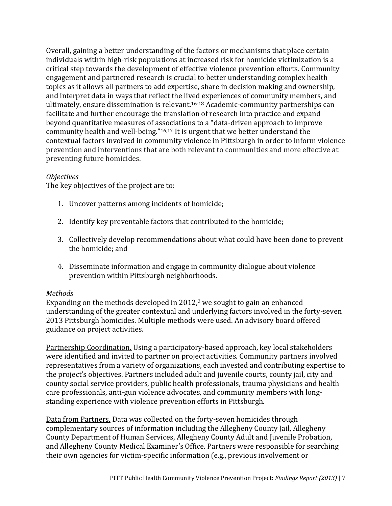Overall, gaining a better understanding of the factors or mechanisms that place certain individuals within high-risk populations at increased risk for homicide victimization is a critical step towards the development of effective violence prevention efforts. Community engagement and partnered research is crucial to better understanding complex health topics as it allows all partners to add expertise, share in decision making and ownership, and interpret data in ways that reflect the lived experiences of community members, and ultimately, ensure dissemination is relevant. [16-18](#page-35-2) Academic-community partnerships can facilitate and further encourage the translation of research into practice and expand beyond quantitative measures of associations to a "data-driven approach to improve community health and well-being."[16,](#page-35-2)[17](#page-35-3) It is urgent that we better understand the contextual factors involved in community violence in Pittsburgh in order to inform violence prevention and interventions that are both relevant to communities and more effective at preventing future homicides.

### <span id="page-13-0"></span>*Objectives*

The key objectives of the project are to:

- 1. Uncover patterns among incidents of homicide;
- 2. Identify key preventable factors that contributed to the homicide;
- 3. Collectively develop recommendations about what could have been done to prevent the homicide; and
- 4. Disseminate information and engage in community dialogue about violence prevention within Pittsburgh neighborhoods.

### <span id="page-13-1"></span>*Methods*

Expanding on the methods developed in 2012, [2](#page-34-2) we sought to gain an enhanced understanding of the greater contextual and underlying factors involved in the forty-seven 2013 Pittsburgh homicides. Multiple methods were used. An advisory board offered guidance on project activities.

Partnership Coordination. Using a participatory-based approach, key local stakeholders were identified and invited to partner on project activities. Community partners involved representatives from a variety of organizations, each invested and contributing expertise to the project's objectives. Partners included adult and juvenile courts, county jail, city and county social service providers, public health professionals, trauma physicians and health care professionals, anti-gun violence advocates, and community members with longstanding experience with violence prevention efforts in Pittsburgh.

Data from Partners. Data was collected on the forty-seven homicides through complementary sources of information including the Allegheny County Jail, Allegheny County Department of Human Services, Allegheny County Adult and Juvenile Probation, and Allegheny County Medical Examiner's Office. Partners were responsible for searching their own agencies for victim-specific information (e.g., previous involvement or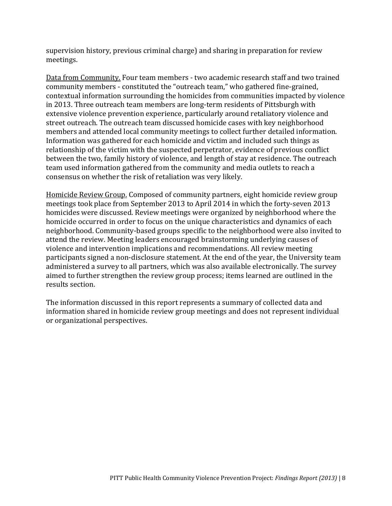supervision history, previous criminal charge) and sharing in preparation for review meetings.

Data from Community. Four team members - two academic research staff and two trained community members - constituted the "outreach team," who gathered fine-grained, contextual information surrounding the homicides from communities impacted by violence in 2013. Three outreach team members are long-term residents of Pittsburgh with extensive violence prevention experience, particularly around retaliatory violence and street outreach. The outreach team discussed homicide cases with key neighborhood members and attended local community meetings to collect further detailed information. Information was gathered for each homicide and victim and included such things as relationship of the victim with the suspected perpetrator, evidence of previous conflict between the two, family history of violence, and length of stay at residence. The outreach team used information gathered from the community and media outlets to reach a consensus on whether the risk of retaliation was very likely.

Homicide Review Group. Composed of community partners, eight homicide review group meetings took place from September 2013 to April 2014 in which the forty-seven 2013 homicides were discussed. Review meetings were organized by neighborhood where the homicide occurred in order to focus on the unique characteristics and dynamics of each neighborhood. Community-based groups specific to the neighborhood were also invited to attend the review. Meeting leaders encouraged brainstorming underlying causes of violence and intervention implications and recommendations. All review meeting participants signed a non-disclosure statement. At the end of the year, the University team administered a survey to all partners, which was also available electronically. The survey aimed to further strengthen the review group process; items learned are outlined in the results section.

The information discussed in this report represents a summary of collected data and information shared in homicide review group meetings and does not represent individual or organizational perspectives.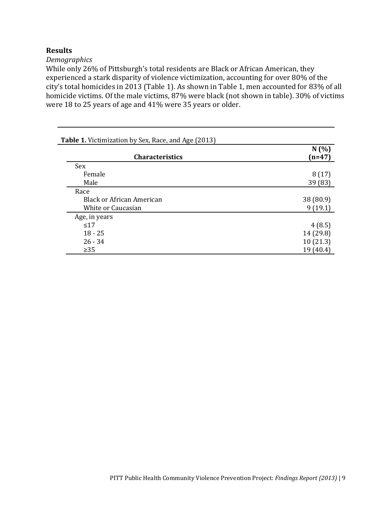### <span id="page-15-0"></span>**Results**

<span id="page-15-1"></span>*Demographics*

While only 26% of Pittsburgh's total residents are Black or African American, they experienced a stark disparity of violence victimization, accounting for over 80% of the city's total homicides in 2013 (Table 1). As shown in Table 1, men accounted for 83% of all homicide victims. Of the male victims, 87% were black (not shown in table). 30% of victims were 18 to 25 years of age and 41% were 35 years or older.

| <b>Table 1.</b> Victimization by Sex, Race, and Age (2013) |                  |  |
|------------------------------------------------------------|------------------|--|
| <b>Characteristics</b>                                     | N(%)<br>$(n=47)$ |  |
| Sex                                                        |                  |  |
| Female                                                     | 8(17)            |  |
| Male                                                       | 39 (83)          |  |
| Race                                                       |                  |  |
| <b>Black or African American</b>                           | 38 (80.9)        |  |
| White or Caucasian                                         | 9(19.1)          |  |
| Age, in years                                              |                  |  |
| $\leq 17$                                                  | 4(8.5)           |  |
| $18 - 25$                                                  | 14 (29.8)        |  |
| $26 - 34$                                                  | 10(21.3)         |  |
| $\geq$ 35                                                  | 19 (40.4)        |  |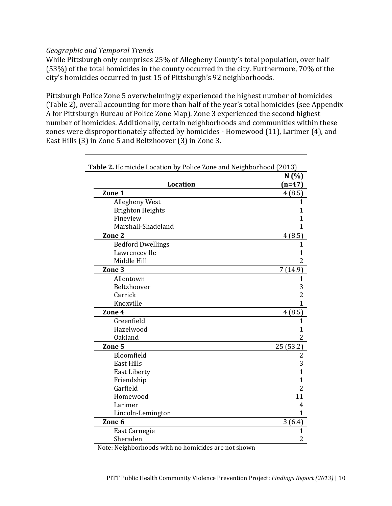### <span id="page-16-0"></span>*Geographic and Temporal Trends*

While Pittsburgh only comprises 25% of Allegheny County's total population, over half (53%) of the total homicides in the county occurred in the city. Furthermore, 70% of the city's homicides occurred in just 15 of Pittsburgh's 92 neighborhoods.

Pittsburgh Police Zone 5 overwhelmingly experienced the highest number of homicides (Table 2), overall accounting for more than half of the year's total homicides (see Appendix A for Pittsburgh Bureau of Police Zone Map). Zone 3 experienced the second highest number of homicides. Additionally, certain neighborhoods and communities within these zones were disproportionately affected by homicides - Homewood (11), Larimer (4), and East Hills (3) in Zone 5 and Beltzhoover (3) in Zone 3.

| Table 2. Homicide Location by Police Zone and Neighborhood (2013) |          |
|-------------------------------------------------------------------|----------|
|                                                                   | N(%      |
| <b>Location</b>                                                   | $(n=47)$ |
| Zone 1                                                            | 4(8.5)   |
| Allegheny West                                                    |          |
| <b>Brighton Heights</b>                                           |          |
| Fineview                                                          |          |
| Marshall-Shadeland                                                |          |
| Zone 2                                                            | 4(8.5)   |
| <b>Bedford Dwellings</b>                                          |          |
| Lawrenceville                                                     |          |
| Middle Hill                                                       |          |
| Zone 3                                                            | 7(14.9)  |
| Allentown                                                         |          |
| Beltzhoover                                                       |          |
| Carrick                                                           |          |
| Knoxville                                                         |          |
| Zone 4                                                            | 4(8.5)   |
| Greenfield                                                        |          |
| Hazelwood                                                         |          |
| <b>Oakland</b>                                                    |          |
| Zone 5                                                            | 25(53.2) |
| Bloomfield                                                        |          |
| <b>East Hills</b>                                                 |          |
| <b>East Liberty</b>                                               |          |
| Friendship                                                        |          |
| Garfield                                                          |          |
| Homewood                                                          | 11       |
| Larimer                                                           |          |
| Lincoln-Lemington                                                 |          |
| Zone 6                                                            | 3(6.4)   |
| <b>East Carnegie</b>                                              |          |
| Sheraden                                                          |          |

Note: Neighborhoods with no homicides are not shown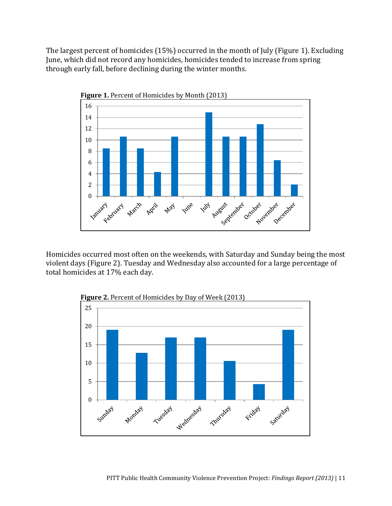The largest percent of homicides (15%) occurred in the month of July (Figure 1). Excluding June, which did not record any homicides, homicides tended to increase from spring through early fall, before declining during the winter months.



Homicides occurred most often on the weekends, with Saturday and Sunday being the most violent days (Figure 2). Tuesday and Wednesday also accounted for a large percentage of total homicides at 17% each day.

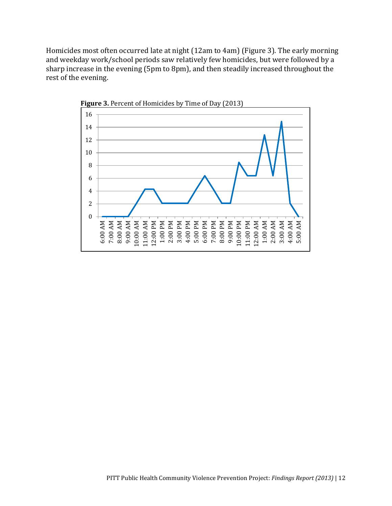Homicides most often occurred late at night (12am to 4am) (Figure 3). The early morning and weekday work/school periods saw relatively few homicides, but were followed by a sharp increase in the evening (5pm to 8pm), and then steadily increased throughout the rest of the evening.



**Figure 3.** Percent of Homicides by Time of Day (2013)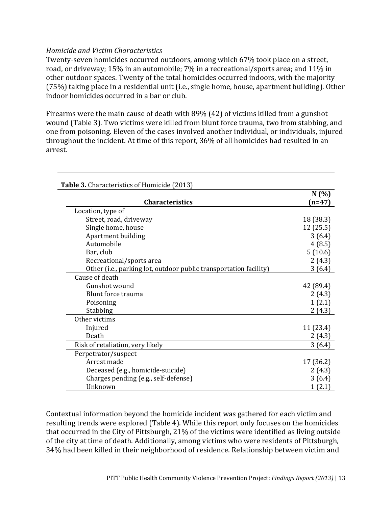### <span id="page-19-0"></span>*Homicide and Victim Characteristics*

Twenty-seven homicides occurred outdoors, among which 67% took place on a street, road, or driveway; 15% in an automobile; 7% in a recreational/sports area; and 11% in other outdoor spaces. Twenty of the total homicides occurred indoors, with the majority (75%) taking place in a residential unit (i.e., single home, house, apartment building). Other indoor homicides occurred in a bar or club.

Firearms were the main cause of death with 89% (42) of victims killed from a gunshot wound (Table 3). Two victims were killed from blunt force trauma, two from stabbing, and one from poisoning. Eleven of the cases involved another individual, or individuals, injured throughout the incident. At time of this report, 36% of all homicides had resulted in an arrest.

|                                                                   | N(%)      |
|-------------------------------------------------------------------|-----------|
| <b>Characteristics</b>                                            | $(n=47)$  |
| Location, type of                                                 |           |
| Street, road, driveway                                            | 18 (38.3) |
| Single home, house                                                | 12(25.5)  |
| Apartment building                                                | 3(6.4)    |
| Automobile                                                        | 4(8.5)    |
| Bar, club                                                         | 5(10.6)   |
| Recreational/sports area                                          | 2(4.3)    |
| Other (i.e., parking lot, outdoor public transportation facility) | 3(6.4)    |
| Cause of death                                                    |           |
| Gunshot wound                                                     | 42 (89.4) |
| Blunt force trauma                                                | 2(4.3)    |
| Poisoning                                                         | 1(2.1)    |
| Stabbing                                                          | 2(4.3)    |
| Other victims                                                     |           |
| Injured                                                           | 11 (23.4) |
| Death                                                             | 2(4.3)    |
| Risk of retaliation, very likely                                  | 3(6.4)    |
| Perpetrator/suspect                                               |           |
| Arrest made                                                       | 17 (36.2) |
| Deceased (e.g., homicide-suicide)                                 | 2(4.3)    |
| Charges pending (e.g., self-defense)                              | 3(6.4)    |
| Unknown                                                           | 1(2.1)    |

Contextual information beyond the homicide incident was gathered for each victim and resulting trends were explored (Table 4). While this report only focuses on the homicides that occurred in the City of Pittsburgh, 21% of the victims were identified as living outside of the city at time of death. Additionally, among victims who were residents of Pittsburgh, 34% had been killed in their neighborhood of residence. Relationship between victim and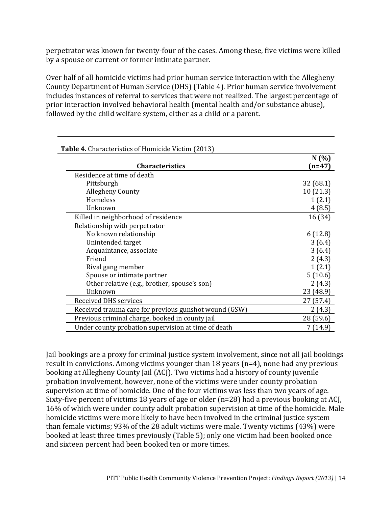perpetrator was known for twenty-four of the cases. Among these, five victims were killed by a spouse or current or former intimate partner.

Over half of all homicide victims had prior human service interaction with the Allegheny County Department of Human Service (DHS) (Table 4). Prior human service involvement includes instances of referral to services that were not realized. The largest percentage of prior interaction involved behavioral health (mental health and/or substance abuse), followed by the child welfare system, either as a child or a parent.

| <b>Table 4.</b> Characteristics of Homicide Victim (2013) |                 |
|-----------------------------------------------------------|-----------------|
| <b>Characteristics</b>                                    | N(%<br>$(n=47)$ |
| Residence at time of death                                |                 |
| Pittsburgh                                                | 32(68.1)        |
| <b>Allegheny County</b>                                   | 10(21.3)        |
| Homeless                                                  | 1(2.1)          |
| Unknown                                                   | 4(8.5)          |
| Killed in neighborhood of residence                       | 16 (34)         |
| Relationship with perpetrator                             |                 |
| No known relationship                                     | 6(12.8)         |
| Unintended target                                         | 3(6.4)          |
| Acquaintance, associate                                   | 3(6.4)          |
| Friend                                                    | 2(4.3)          |
| Rival gang member                                         | 1(2.1)          |
| Spouse or intimate partner                                | 5(10.6)         |
| Other relative (e.g., brother, spouse's son)              | 2(4.3)          |
| Unknown                                                   | 23 (48.9)       |
| <b>Received DHS services</b>                              | 27 (57.4)       |
| Received trauma care for previous gunshot wound (GSW)     | 2(4.3)          |
| Previous criminal charge, booked in county jail           | 28 (59.6)       |
| Under county probation supervision at time of death       | 7(14.9)         |

Jail bookings are a proxy for criminal justice system involvement, since not all jail bookings result in convictions. Among victims younger than 18 years (n=4), none had any previous booking at Allegheny County Jail (ACJ). Two victims had a history of county juvenile probation involvement, however, none of the victims were under county probation supervision at time of homicide. One of the four victims was less than two years of age. Sixty-five percent of victims 18 years of age or older (n=28) had a previous booking at ACJ, 16% of which were under county adult probation supervision at time of the homicide. Male homicide victims were more likely to have been involved in the criminal justice system than female victims; 93% of the 28 adult victims were male. Twenty victims (43%) were booked at least three times previously (Table 5); only one victim had been booked once and sixteen percent had been booked ten or more times.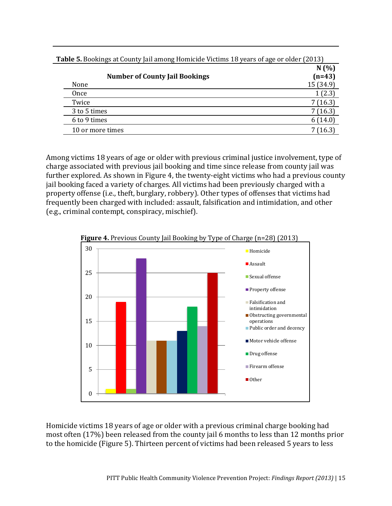| ◡<br><b>Number of County Jail Bookings</b> | N(%<br>$(n=43)$ |
|--------------------------------------------|-----------------|
| None                                       | 15 (34.9)       |
| Once                                       | 1(2.3)          |
| Twice                                      | 7(16.3)         |
| 3 to 5 times                               | 7(16.3)         |
| 6 to 9 times                               | 6(14.0)         |
| 10 or more times                           | 7(16.3)         |

**Table 5.** Bookings at County Jail among Homicide Victims 18 years of age or older (2013)

Among victims 18 years of age or older with previous criminal justice involvement, type of charge associated with previous jail booking and time since release from county jail was further explored. As shown in Figure 4, the twenty-eight victims who had a previous county jail booking faced a variety of charges. All victims had been previously charged with a property offense (i.e., theft, burglary, robbery). Other types of offenses that victims had frequently been charged with included: assault, falsification and intimidation, and other (e.g., criminal contempt, conspiracy, mischief).





Homicide victims 18 years of age or older with a previous criminal charge booking had most often (17%) been released from the county jail 6 months to less than 12 months prior to the homicide (Figure 5). Thirteen percent of victims had been released 5 years to less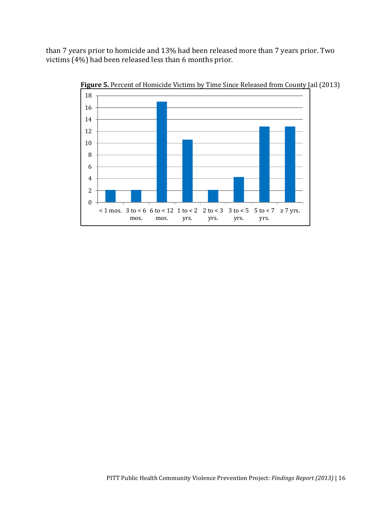than 7 years prior to homicide and 13% had been released more than 7 years prior. Two victims (4%) had been released less than 6 months prior.



**Figure 5.** Percent of Homicide Victims by Time Since Released from County Jail (2013)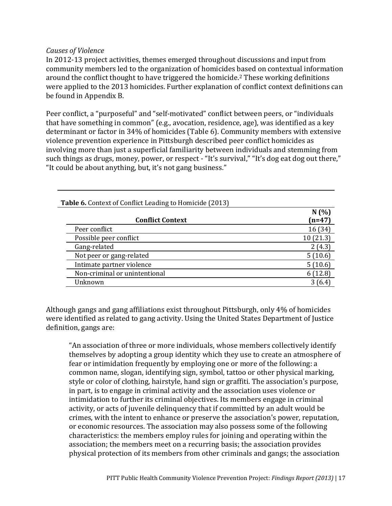### <span id="page-23-0"></span>*Causes of Violence*

In 2012-13 project activities, themes emerged throughout discussions and input from community members led to the organization of homicides based on contextual information around the conflict thought to have triggered the homicide.[2](#page-34-2) These working definitions were applied to the 2013 homicides. Further explanation of conflict context definitions can be found in Appendix B.

Peer conflict, a "purposeful" and "self-motivated" conflict between peers, or "individuals that have something in common" (e.g., avocation, residence, age), was identified as a key determinant or factor in 34% of homicides (Table 6). Community members with extensive violence prevention experience in Pittsburgh described peer conflict homicides as involving more than just a superficial familiarity between individuals and stemming from such things as drugs, money, power, or respect - "It's survival," "It's dog eat dog out there," "It could be about anything, but, it's not gang business."

| <b>Table 6.</b> Context of Conflict Leading to Homicide (2013) |          |
|----------------------------------------------------------------|----------|
|                                                                | N(%)     |
| <b>Conflict Context</b>                                        | $(n=47)$ |
| Peer conflict                                                  | 16(34)   |
| Possible peer conflict                                         | 10(21.3) |
| Gang-related                                                   | 2(4.3)   |
| Not peer or gang-related                                       | 5(10.6)  |
| Intimate partner violence                                      | 5(10.6)  |
| Non-criminal or unintentional                                  | 6(12.8)  |
| Unknown                                                        | 3(6.4)   |

Although gangs and gang affiliations exist throughout Pittsburgh, only 4% of homicides were identified as related to gang activity. Using the United States Department of Justice definition, gangs are:

"An association of three or more individuals, whose members collectively identify themselves by adopting a group identity which they use to create an atmosphere of fear or intimidation frequently by employing one or more of the following: a common name, slogan, identifying sign, symbol, tattoo or other physical marking, style or color of clothing, hairstyle, hand sign or graffiti. The association's purpose, in part, is to engage in criminal activity and the association uses violence or intimidation to further its criminal objectives. Its members engage in criminal activity, or acts of juvenile delinquency that if committed by an adult would be crimes, with the intent to enhance or preserve the association's power, reputation, or economic resources. The association may also possess some of the following characteristics: the members employ rules for joining and operating within the association; the members meet on a recurring basis; the association provides physical protection of its members from other criminals and gangs; the association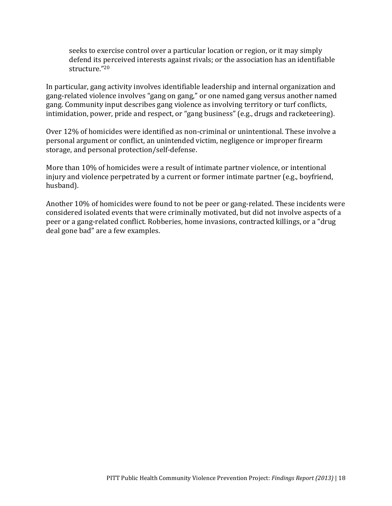seeks to exercise control over a particular location or region, or it may simply defend its perceived interests against rivals; or the association has an identifiable structure." 20

In particular, gang activity involves identifiable leadership and internal organization and gang-related violence involves "gang on gang," or one named gang versus another named gang. Community input describes gang violence as involving territory or turf conflicts, intimidation, power, pride and respect, or "gang business" (e.g., drugs and racketeering).

Over 12% of homicides were identified as non-criminal or unintentional. These involve a personal argument or conflict, an unintended victim, negligence or improper firearm storage, and personal protection/self-defense.

More than 10% of homicides were a result of intimate partner violence, or intentional injury and violence perpetrated by a current or former intimate partner (e.g., boyfriend, husband).

Another 10% of homicides were found to not be peer or gang-related. These incidents were considered isolated events that were criminally motivated, but did not involve aspects of a peer or a gang-related conflict. Robberies, home invasions, contracted killings, or a "drug deal gone bad" are a few examples.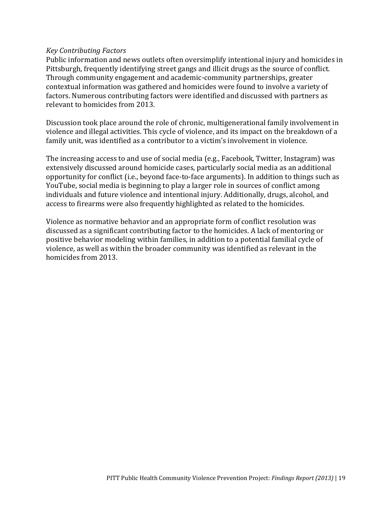### <span id="page-25-0"></span>*Key Contributing Factors*

Public information and news outlets often oversimplify intentional injury and homicides in Pittsburgh, frequently identifying street gangs and illicit drugs as the source of conflict. Through community engagement and academic-community partnerships, greater contextual information was gathered and homicides were found to involve a variety of factors. Numerous contributing factors were identified and discussed with partners as relevant to homicides from 2013.

Discussion took place around the role of chronic, multigenerational family involvement in violence and illegal activities. This cycle of violence, and its impact on the breakdown of a family unit, was identified as a contributor to a victim's involvement in violence.

The increasing access to and use of social media (e.g., Facebook, Twitter, Instagram) was extensively discussed around homicide cases, particularly social media as an additional opportunity for conflict (i.e., beyond face-to-face arguments). In addition to things such as YouTube, social media is beginning to play a larger role in sources of conflict among individuals and future violence and intentional injury. Additionally, drugs, alcohol, and access to firearms were also frequently highlighted as related to the homicides.

Violence as normative behavior and an appropriate form of conflict resolution was discussed as a significant contributing factor to the homicides. A lack of mentoring or positive behavior modeling within families, in addition to a potential familial cycle of violence, as well as within the broader community was identified as relevant in the homicides from 2013.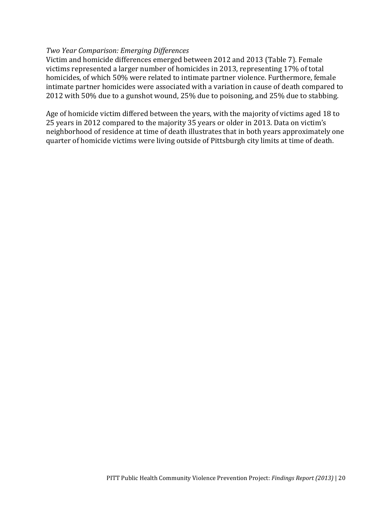### <span id="page-26-0"></span>*Two Year Comparison: Emerging Differences*

Victim and homicide differences emerged between 2012 and 2013 (Table 7). Female victims represented a larger number of homicides in 2013, representing 17% of total homicides, of which 50% were related to intimate partner violence. Furthermore, female intimate partner homicides were associated with a variation in cause of death compared to 2012 with 50% due to a gunshot wound, 25% due to poisoning, and 25% due to stabbing.

Age of homicide victim differed between the years, with the majority of victims aged 18 to 25 years in 2012 compared to the majority 35 years or older in 2013. Data on victim's neighborhood of residence at time of death illustrates that in both years approximately one quarter of homicide victims were living outside of Pittsburgh city limits at time of death.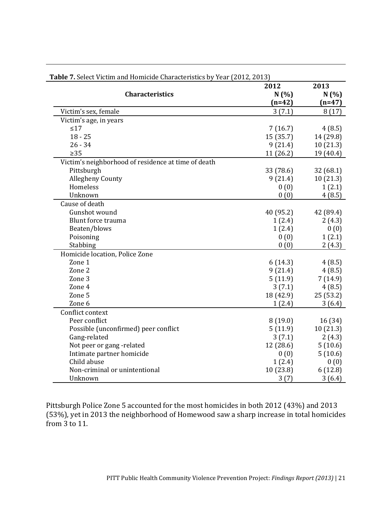|                                                     | 2012      | 2013      |
|-----------------------------------------------------|-----------|-----------|
| <b>Characteristics</b>                              | N(%)      | N(%)      |
|                                                     | $(n=42)$  | $(n=47)$  |
| Victim's sex, female                                | 3(7.1)    | 8(17)     |
| Victim's age, in years                              |           |           |
| $\leq 17$                                           | 7(16.7)   | 4(8.5)    |
| $18 - 25$                                           | 15 (35.7) | 14 (29.8) |
| $26 - 34$                                           | 9(21.4)   | 10(21.3)  |
| $\geq 35$                                           | 11(26.2)  | 19 (40.4) |
| Victim's neighborhood of residence at time of death |           |           |
| Pittsburgh                                          | 33 (78.6) | 32 (68.1) |
| <b>Allegheny County</b>                             | 9(21.4)   | 10(21.3)  |
| Homeless                                            | 0(0)      | 1(2.1)    |
| Unknown                                             | 0(0)      | 4(8.5)    |
| Cause of death                                      |           |           |
| Gunshot wound                                       | 40 (95.2) | 42 (89.4) |
| <b>Blunt force trauma</b>                           | 1(2.4)    | 2(4.3)    |
| Beaten/blows                                        | 1(2.4)    | 0(0)      |
| Poisoning                                           | 0(0)      | 1(2.1)    |
| Stabbing                                            | 0(0)      | 2(4.3)    |
| Homicide location, Police Zone                      |           |           |
| Zone 1                                              | 6(14.3)   | 4(8.5)    |
| Zone 2                                              | 9(21.4)   | 4(8.5)    |
| Zone 3                                              | 5(11.9)   | 7(14.9)   |
| Zone 4                                              | 3(7.1)    | 4(8.5)    |
| Zone 5                                              | 18 (42.9) | 25(53.2)  |
| Zone 6                                              | 1(2.4)    | 3(6.4)    |
| Conflict context                                    |           |           |
| Peer conflict                                       | 8(19.0)   | 16 (34)   |
| Possible (unconfirmed) peer conflict                | 5(11.9)   | 10(21.3)  |
| Gang-related                                        | 3(7.1)    | 2(4.3)    |
| Not peer or gang-related                            | 12 (28.6) | 5(10.6)   |
| Intimate partner homicide                           | 0(0)      | 5(10.6)   |
| Child abuse                                         | 1(2.4)    | 0(0)      |
| Non-criminal or unintentional                       | 10(23.8)  | 6(12.8)   |
| Unknown                                             | 3(7)      | 3(6.4)    |

**Table 7.** Select Victim and Homicide Characteristics by Year (2012, 2013)

Pittsburgh Police Zone 5 accounted for the most homicides in both 2012 (43%) and 2013 (53%), yet in 2013 the neighborhood of Homewood saw a sharp increase in total homicides from 3 to 11.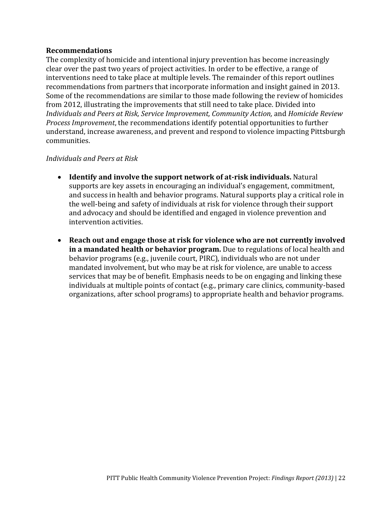### <span id="page-28-0"></span>**Recommendations**

The complexity of homicide and intentional injury prevention has become increasingly clear over the past two years of project activities. In order to be effective, a range of interventions need to take place at multiple levels. The remainder of this report outlines recommendations from partners that incorporate information and insight gained in 2013. Some of the recommendations are similar to those made following the review of homicides from 2012, illustrating the improvements that still need to take place. Divided into *Individuals and Peers at Risk, Service Improvement, Community Action,* and *Homicide Review Process Improvement*, the recommendations identify potential opportunities to further understand, increase awareness, and prevent and respond to violence impacting Pittsburgh communities.

### <span id="page-28-1"></span>*Individuals and Peers at Risk*

- **Identify and involve the support network of at-risk individuals.** Natural supports are key assets in encouraging an individual's engagement, commitment, and success in health and behavior programs. Natural supports play a critical role in the well-being and safety of individuals at risk for violence through their support and advocacy and should be identified and engaged in violence prevention and intervention activities.
- **Reach out and engage those at risk for violence who are not currently involved in a mandated health or behavior program.** Due to regulations of local health and behavior programs (e.g., juvenile court, PIRC), individuals who are not under mandated involvement, but who may be at risk for violence, are unable to access services that may be of benefit. Emphasis needs to be on engaging and linking these individuals at multiple points of contact (e.g., primary care clinics, community-based organizations, after school programs) to appropriate health and behavior programs.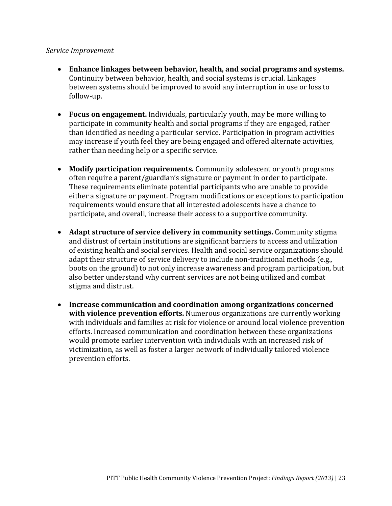### <span id="page-29-0"></span>*Service Improvement*

- **Enhance linkages between behavior, health, and social programs and systems.**  Continuity between behavior, health, and social systems is crucial. Linkages between systems should be improved to avoid any interruption in use or loss to follow-up.
- **Focus on engagement.** Individuals, particularly youth, may be more willing to participate in community health and social programs if they are engaged, rather than identified as needing a particular service. Participation in program activities may increase if youth feel they are being engaged and offered alternate activities, rather than needing help or a specific service.
- **Modify participation requirements.** Community adolescent or youth programs often require a parent/guardian's signature or payment in order to participate. These requirements eliminate potential participants who are unable to provide either a signature or payment. Program modifications or exceptions to participation requirements would ensure that all interested adolescents have a chance to participate, and overall, increase their access to a supportive community.
- **Adapt structure of service delivery in community settings.** Community stigma and distrust of certain institutions are significant barriers to access and utilization of existing health and social services. Health and social service organizations should adapt their structure of service delivery to include non-traditional methods (e.g., boots on the ground) to not only increase awareness and program participation, but also better understand why current services are not being utilized and combat stigma and distrust.
- **Increase communication and coordination among organizations concerned with violence prevention efforts.** Numerous organizations are currently working with individuals and families at risk for violence or around local violence prevention efforts. Increased communication and coordination between these organizations would promote earlier intervention with individuals with an increased risk of victimization, as well as foster a larger network of individually tailored violence prevention efforts.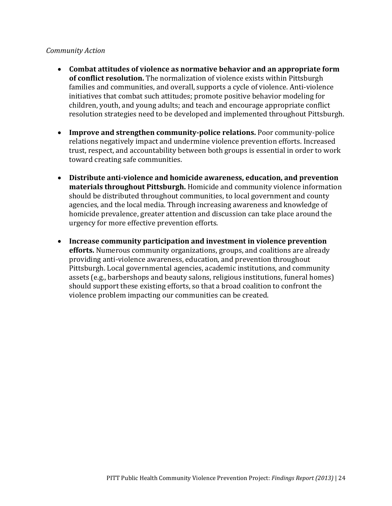### <span id="page-30-0"></span>*Community Action*

- **Combat attitudes of violence as normative behavior and an appropriate form of conflict resolution.** The normalization of violence exists within Pittsburgh families and communities, and overall, supports a cycle of violence. Anti-violence initiatives that combat such attitudes; promote positive behavior modeling for children, youth, and young adults; and teach and encourage appropriate conflict resolution strategies need to be developed and implemented throughout Pittsburgh.
- **Improve and strengthen community-police relations.** Poor community-police relations negatively impact and undermine violence prevention efforts. Increased trust, respect, and accountability between both groups is essential in order to work toward creating safe communities.
- **Distribute anti-violence and homicide awareness, education, and prevention materials throughout Pittsburgh.** Homicide and community violence information should be distributed throughout communities, to local government and county agencies, and the local media. Through increasing awareness and knowledge of homicide prevalence, greater attention and discussion can take place around the urgency for more effective prevention efforts.
- **Increase community participation and investment in violence prevention efforts.** Numerous community organizations, groups, and coalitions are already providing anti-violence awareness, education, and prevention throughout Pittsburgh. Local governmental agencies, academic institutions, and community assets (e.g., barbershops and beauty salons, religious institutions, funeral homes) should support these existing efforts, so that a broad coalition to confront the violence problem impacting our communities can be created.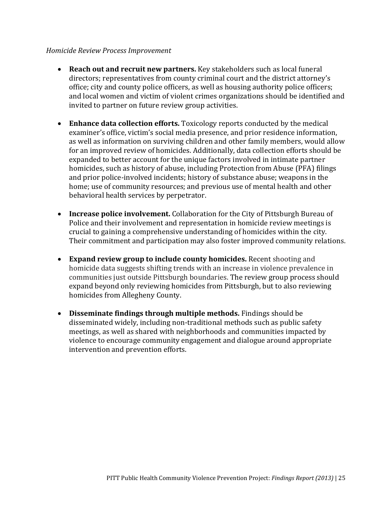### <span id="page-31-0"></span>*Homicide Review Process Improvement*

- **Reach out and recruit new partners.** Key stakeholders such as local funeral directors; representatives from county criminal court and the district attorney's office; city and county police officers, as well as housing authority police officers; and local women and victim of violent crimes organizations should be identified and invited to partner on future review group activities.
- **Enhance data collection efforts.** Toxicology reports conducted by the medical examiner's office, victim's social media presence, and prior residence information, as well as information on surviving children and other family members, would allow for an improved review of homicides. Additionally, data collection efforts should be expanded to better account for the unique factors involved in intimate partner homicides, such as history of abuse, including Protection from Abuse (PFA) filings and prior police-involved incidents; history of substance abuse; weapons in the home; use of community resources; and previous use of mental health and other behavioral health services by perpetrator.
- **Increase police involvement.** Collaboration for the City of Pittsburgh Bureau of Police and their involvement and representation in homicide review meetings is crucial to gaining a comprehensive understanding of homicides within the city. Their commitment and participation may also foster improved community relations.
- **Expand review group to include county homicides.** Recent shooting and homicide data suggests shifting trends with an increase in violence prevalence in communities just outside Pittsburgh boundaries. The review group process should expand beyond only reviewing homicides from Pittsburgh, but to also reviewing homicides from Allegheny County.
- **Disseminate findings through multiple methods.** Findings should be disseminated widely, including non-traditional methods such as public safety meetings, as well as shared with neighborhoods and communities impacted by violence to encourage community engagement and dialogue around appropriate intervention and prevention efforts.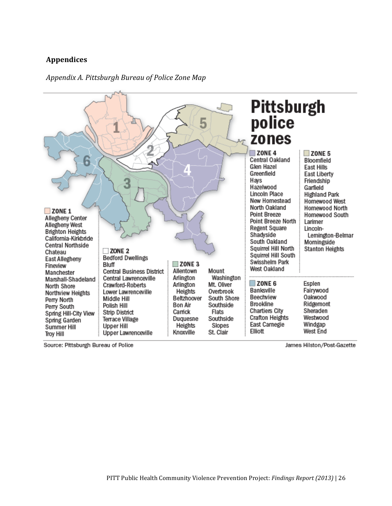### <span id="page-32-0"></span>**Appendices**

### Pittsburgh<br>police 5 zones **ZONE 4**  $\Box$  ZONE 5 Central Oakland Bloomfield 5 Glen Hazel **East Hills** Greenfield **East Liberty** Hays Friendship Hazelwood Garfield Lincoln Place **Highland Park** New Homestead Homewood West North Oakland Homewood North  $\Box$  ZONE 1 Point Breeze Homewood South Allegheny Center Point Breeze North Larimer Allegheny West **Regent Square** Lincoln-**Brighton Heights** Shadyside Lemington-Belmar California-Kirkbride South Oakland Morningside **Central Northside** Squirrel Hill North **Stanton Heights**  $\Box$  ZONE 2 Chateau Squirrel Hill South **Bedford Dwellings** East Allegheny Swisshelm Park  $\Box$  ZONE 3 Bluff Fineview West Oakland Allentown Mount **Central Business District** Manchester Washington Arlington Central Lawrenceville Marshall-Shadeland  $\Box$  ZONE 6 Esplen Mt. Oliver Crawford-Roberts Arlington North Shore Banksville Fairywood Overbrook Heights Lower Lawrenceville Northview Heights Beechview Oakwood Beltzhoover South Shore Middle Hill Perry North **Brookline** Ridgemont Bon Air Southside Polish Hill Perry South **Chartiers City** Sheraden **Strip District** Camick Flats Spring Hill-City View **Crafton Heights** Westwood Southside Terrace Village Duquesne Spring Garden East Carnegie Windgap **Upper Hill** Heights Slopes Summer Hill Elliott West End Upper Lawrenceville Knoxville St. Clair **Troy Hill**

### <span id="page-32-1"></span>*Appendix A. Pittsburgh Bureau of Police Zone Map*

Source: Pittsburgh Bureau of Police

James Hilston/Post-Gazette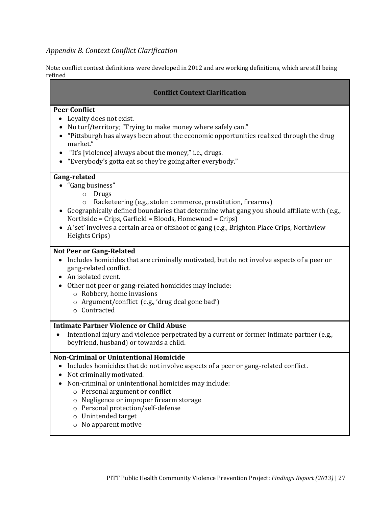### <span id="page-33-0"></span>*Appendix B. Context Conflict Clarification*

Note: conflict context definitions were developed in 2012 and are working definitions, which are still being refined

### **Conflict Context Clarification**

### **Peer Conflict**

- Loyalty does not exist.
- No turf/territory; "Trying to make money where safely can."
- "Pittsburgh has always been about the economic opportunities realized through the drug market."
- "It's [violence] always about the money," i.e., drugs.
- "Everybody's gotta eat so they're going after everybody."

### **Gang-related**

- "Gang business"
	- o Drugs
	- o Racketeering (e.g., stolen commerce, prostitution, firearms)
- Geographically defined boundaries that determine what gang you should affiliate with (e.g., Northside = Crips, Garfield = Bloods, Homewood = Crips)
- A 'set' involves a certain area or offshoot of gang (e.g., Brighton Place Crips, Northview Heights Crips)

### **Not Peer or Gang-Related**

- Includes homicides that are criminally motivated, but do not involve aspects of a peer or gang-related conflict.
- An isolated event.
- Other not peer or gang-related homicides may include:
	- o Robbery, home invasions
	- o Argument/conflict (e.g., 'drug deal gone bad')
	- o Contracted

### **Intimate Partner Violence or Child Abuse**

 Intentional injury and violence perpetrated by a current or former intimate partner (e.g., boyfriend, husband) or towards a child.

### **Non-Criminal or Unintentional Homicide**

- Includes homicides that do not involve aspects of a peer or gang-related conflict.
- Not criminally motivated.
- Non-criminal or unintentional homicides may include:
	- o Personal argument or conflict
	- o Negligence or improper firearm storage
	- o Personal protection/self-defense
	- o Unintended target
	- o No apparent motive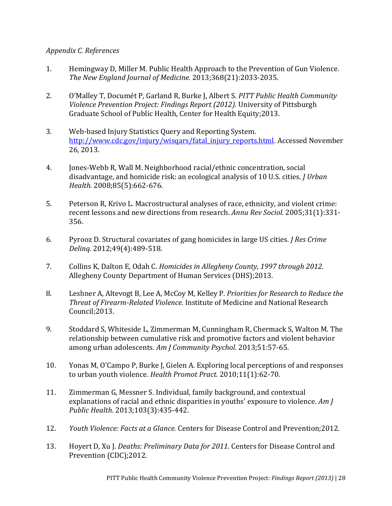### <span id="page-34-0"></span>*Appendix C. References*

- <span id="page-34-1"></span>1. Hemingway D, Miller M. Public Health Approach to the Prevention of Gun Violence. *The New England Journal of Medicine.* 2013;368(21):2033-2035.
- <span id="page-34-2"></span>2. O'Malley T, Documét P, Garland R, Burke J, Albert S. *PITT Public Health Community Violence Prevention Project: Findings Report (2012).* University of Pittsburgh Graduate School of Public Health, Center for Health Equity;2013.
- <span id="page-34-3"></span>3. Web-based Injury Statistics Query and Reporting System. [http://www.cdc.gov/injury/wisqars/fatal\\_injury\\_reports.html.](http://www.cdc.gov/injury/wisqars/fatal_injury_reports.html) Accessed November 26, 2013.
- <span id="page-34-4"></span>4. Jones-Webb R, Wall M. Neighborhood racial/ethnic concentration, social disadvantage, and homicide risk: an ecological analysis of 10 U.S. cities. *J Urban Health.* 2008;85(5):662-676.
- 5. Peterson R, Krivo L. Macrostructural analyses of race, ethnicity, and violent crime: recent lessons and new directions from research. *Annu Rev Sociol.* 2005;31(1):331- 356.
- 6. Pyrooz D. Structural covariates of gang homicides in large US cities. *J Res Crime Delinq.* 2012;49(4):489-518.
- <span id="page-34-5"></span>7. Collins K, Dalton E, Odah C. *Homicides in Allegheny County, 1997 through 2012.* Allegheny County Department of Human Services (DHS);2013.
- <span id="page-34-6"></span>8. Leshner A, Altevogt B, Lee A, McCoy M, Kelley P. *Priorities for Research to Reduce the Threat of Firearm-Related Violence.* Institute of Medicine and National Research Council;2013.
- 9. Stoddard S, Whiteside L, Zimmerman M, Cunningham R, Chermack S, Walton M. The relationship between cumulative risk and promotive factors and violent behavior among urban adolescents. *Am J Community Psychol.* 2013;51:57-65.
- 10. Yonas M, O'Campo P, Burke J, Gielen A. Exploring local perceptions of and responses to urban youth violence. *Health Promot Pract.* 2010;11(1):62-70.
- 11. Zimmerman G, Messner S. Individual, family background, and contextual explanations of racial and ethnic disparities in youths' exposure to violence. *Am J Public Health.* 2013;103(3):435-442.
- <span id="page-34-7"></span>12. *Youth Violence: Facts at a Glance.* Centers for Disease Control and Prevention;2012.
- <span id="page-34-8"></span>13. Hoyert D, Xu J. *Deaths: Preliminary Data for 2011.* Centers for Disease Control and Prevention (CDC);2012.